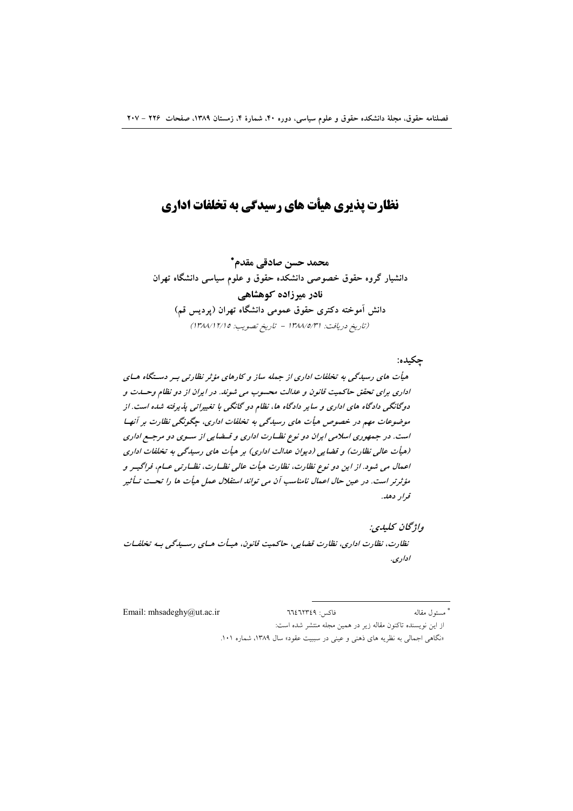# نظارت پذیری هیأت های رسیدگی به تخلفات اداری

محمد حسن صادقي مقدم\* دانشیار گروه حقوق خصوصی دانشکده حقوق و علوم سیاسی دانشگاه تهران نادر میرزاده کوهشاهی دانش آموخته دکتری حقوق عمومی دانشگاه تهران (پردیس قم) (تاريخ دريافت: ١٣٨٨/٥/٣١ - تاريخ تصويب: ١٣٨٨/١٢/١٥)

جكىدە: هیأت های رسیدگی به تخلفات اداری از جمله ساز و کارهای مؤثر نظارتی به دستگاه هسای اداری برای تحقق حاکمیت قانون و عدالت محسوب می شوند. در ایران از دو نظام وحسدت و دوگانگی دادگاه های اداری و سایر دادگاه ها، نظام دو گانگی با تغییراتی پذیرفته شده است. از موضوعات مهم در خصوص هیأت های رسیدگی به تخلفات اداری، جگونگی نظارت بر آنها است. در جمهوری اسلامی ایران دو نوع نظـارت اداری و قـضایی از سـوی دو مرجـع اداری (هيأت عالى نظارت) و قضايي (ديوان عدالت اداري) بر هيأت هاي رسيدگي به تخلفات اداري اعمال می شود. از این دو نوع نظارت، نظارت هیأت عالی نظـارت، نظـارتی عـام، فراگیـر و مؤثرتر است. در عین حال اعمال نامناسب آن می تواند استقلال عمل هیأت ها را تحت تــأثیر قرار دهد.

واژىخان كىلىدى: نظارت، نظارت اداري، نظارت قضايي، حاكميت قانون، هيـأت هـاي رسـيدگي بـه تخلفـات اداري.

Email: mhsadeghy@ut.ac.ir فاكس: ٦٦٤٦٢٣٤٩ \* مسئول مقاله از این نویسنده تاکنون مقاله زیر در همین مجله منتشر شده است: «نگاهی اجمالی به نظریه های ذهنی و عینی در سببیت عقود» سال ۱۳۸۹، شماره ۱۰۱.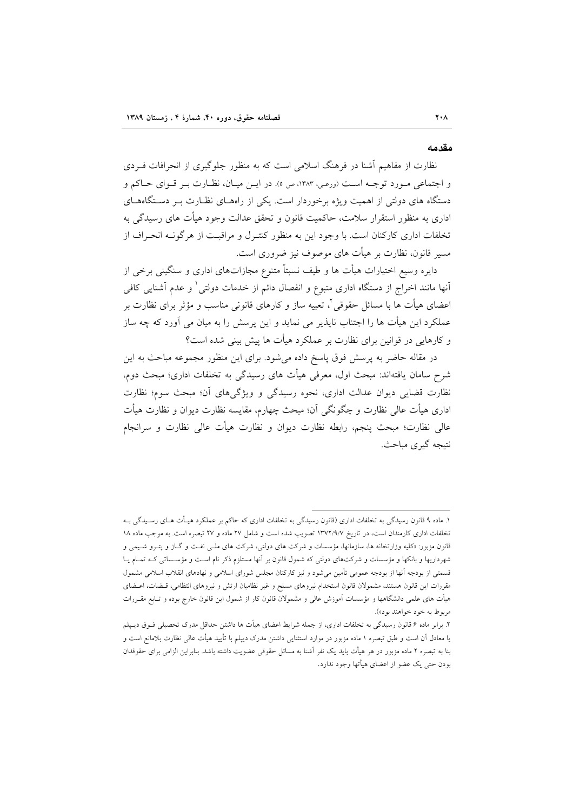#### مقدمه

نظارت از مفاهیم آشنا در فرهنگ اسلامی است که به منظور جلوگیری از انحرافات فیردی و اجتماعی مورد توجه است (ورعی، ١٣٨٣، ص ٥). در ایـن میـان، نظـارت بـر قـوای حـاکم و دستگاه های دولتی از اهمیت ویژه برخوردار است. یکی از راههـای نظـارت بـر دسـتگاههـای اداری به منظور استقرار سلامت، حاکمیت قانون و تحقق عدالت وجود هیأت های رسیدگی به تخلفات اداری کارکنان است. با وجود این به منظور کنتـرل و مراقبـت از هرگونــه انحـراف از مسیر قانون، نظارت بر هیأت های موصوف نیز ضروری است.

دایره وسیع اختیارات هیأت ها و طیف نسبتاً متنوع مجازاتهای اداری و سنگینی برخی از آنها مانند اخراج از دستگاه اداری متبوع و انفصال دائم از خدمات دولتی ٰ و عدم آشنایی کافی اعضای هیأت ها با مسائل حقوقی<sup>٬</sup>، تعبیه ساز و کارهای قانونی مناسب و مؤثر برای نظارت بر عملکرد این هیأت ها را اجتناب ناپذیر می نماید و این پرسش را به میان می آورد که چه ساز و کارهایی در قوانین برای نظارت بر عملکرد هیأت ها پیش بینی شده است؟

در مقاله حاضر به پرسش فوق پاسخ داده می شود. برای این منظور مجموعه مباحث به این شرح سامان یافتهاند: مبحث اول، معرفی هیأت های رسیدگی به تخلفات اداری؛ مبحث دوم، نظارت قضایی دیوان عدالت اداری، نحوه رسیدگی و ویژگیهای آن؛ مبحث سوم؛ نظارت اداری هیأت عالی نظارت و چگونگی آن؛ مبحث چهارم، مقایسه نظارت دیوان و نظارت هیأت عالی نظارت؛ مبحث پنجم، رابطه نظارت دیوان و نظارت هیأت عالی نظارت و سرانجام نتيجه گيري مباحث.

۱. ماده ۹ قانون رسیدگی به تخلفات اداری (قانون رسیدگی به تخلفات اداری که حاکم بر عملکرد هیـأت هـای رسـیدگی بــه تخلفات اداری کارمندان است، در تاریخ ۱۳۷۲/۹/۷ تصویب شده است و شامل ۲۷ ماده و ۲۷ تبصره است. به موجب ماده ۱۸ قانون مزبور: «کلیه وزارتخانه ها، سازمانها، مؤسسات و شرکت های دولتی، شرکت های ملـّی نفـت و گـاز و پتــرو شــیمی و شهرداریها و بانکها و مؤسسات و شرکتهای دولتی که شمول قانون بر آنها مستلزم ذکر نام است و مؤسساتی کـه تمـام یـا قسمتی از بودجه آنها از بودجه عمومی تأمین میشود و نیز کارکنان مجلس شورای اسلامی و نهادهای انقلاب اسلامی مشمول مقررات این قانون هستند، مشمولان قانون استخدام نیروهای مسلح و غیر نظامیان ارتش و نیروهای انتظامی، قـضات، اعـضای هیأت های علمی دانشگاهها و مؤسسات اَموزش عالمی و مشمولان قانون کار از شمول این قانون خارج بوده و تـابع مقــررات مربوط به خود خواهند بود»).

۲. برابر ماده ۶ قانون رسیدگی به تخلفات اداری، از جمله شرایط اعضای هیأت ها داشتن حداقل مدرک تحصیلی فـوق دیـپلم یا معادل آن است و طبق تبصره ۱ ماده مزبور در موارد استثنایی داشتن مدرک دیپلم با تأیید هیأت عالی نظارت بلامانع است و بنا به تبصره ۲ ماده مزبور در هر هیأت باید یک نفر آشنا به مسائل حقوقی عضویت داشته باشد. بنابراین الزامی برای حقوقدان بودن حتى يک عضو از اعضاى هيأتها وجود ندارد.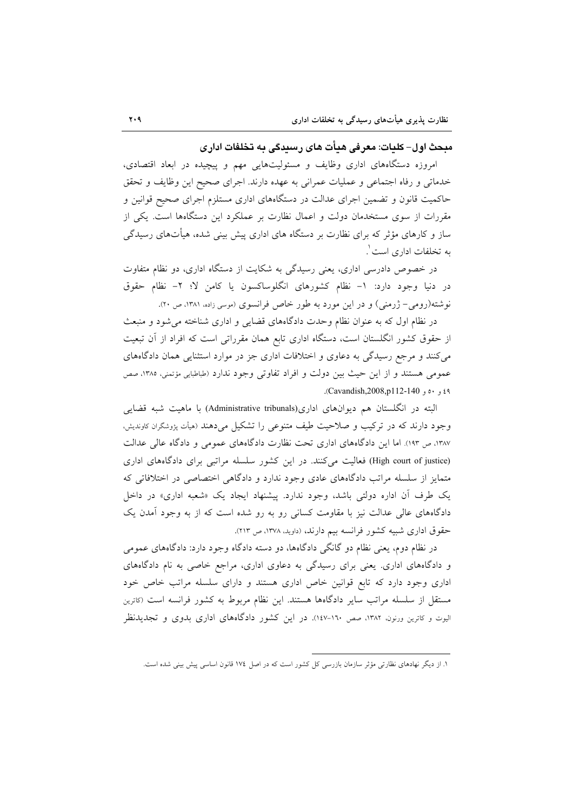مبحث اول– کلیات: معرفی هیأت های رسیدگی به تخلفات ادار ی

امروزه دستگاههای اداری وظایف و مسئولیتهایی مهم و پیچیده در ابعاد اقتصادی، خدماتی و رفاه اجتماعی و عملیات عمرانی به عهده دارند. اجرای صحیح این وظایف و تحقق حاکمیت قانون و تضمین اجرای عدالت در دستگاههای اداری مستلزم اجرای صحیح قوانین و مقررات از سوی مستخدمان دولت و اعمال نظارت بر عملکرد این دستگاهها است. یکی از ساز و کارهای مؤثر که برای نظارت بر دستگاه های اداری پیش بینی شده، هیأتهای رسیدگی به تخلفات اداری است ٰ.

در خصوص دادرسی اداری، یعنی رسیدگی به شکایت از دستگاه اداری، دو نظام متفاوت در دنیا وجود دارد: ١- نظام كشورهاى انگلوساكسون يا كامن لا؛ ٢- نظام حقوق نوشته(رومی- ژرمنی) و در این مورد به طور خاص فرانسوی (موسی زاده، ۱۳۸۱، ص ۲۰).

در نظام اول که به عنوان نظام وحدت دادگاههای قضایی و اداری شناخته می شود و منبعث از حقوق کشور انگلستان است، دستگاه اداری تابع همان مقرراتی است که افراد از آن تبعیت می کنند و مرجع رسیدگی به دعاوی و اختلافات اداری جز در موارد استثنایی همان دادگاههای عمومي هستند و از اين حيث بين دولت و افراد تفاوتي وجود ندارد (طباطبايي مؤتمني، ١٣٨٥، صص ٤٩ و Cavandish,2008,p112-140.

البته در انگلستان هم دیوانهای اداری(Administrative tribunals) با ماهیت شبه قضایی وجود دارند که در ترکیب و صلاحیت طیف متنوعی را تشکیل میدهند (هیأت پژوشگران کاوندیش، ۱۳۸۷، ص ۱۹۳). اما این دادگاههای اداری تحت نظارت دادگاههای عمومی و دادگاه عالی عدالت (High court of justice) فعالیت میکنند. در این کشور سلسله مراتبی برای دادگاههای اداری متمایز از سلسله مراتب دادگاههای عادی وجود ندارد و دادگاهی اختصاصی در اختلافاتی که یک طرف آن اداره دولتی باشد، وجود ندارد. پیشنهاد ایجاد یک «شعبه اداری» در داخل دادگاههای عالی عدالت نیز با مقاومت کسانی رو به رو شده است که از به وجود آمدن یک حقوق اداری شبیه کشور فرانسه بیم دارند، (داوید، ۱۳۷۸، ص ۲۱۳).

در نظام دوم، یعنی نظام دو گانگی دادگاهها، دو دسته دادگاه وجود دارد: دادگاههای عمومی و دادگاههای اداری. یعنی برای رسیدگی به دعاوی اداری، مراجع خاصی به نام دادگاههای اداری وجود دارد که تابع قوانین خاص اداری هستند و دارای سلسله مراتب خاص خود مستقل از سلسله مراتب سایر دادگاهها هستند. این نظام مربوط به کشور فرانسه است (کاترین الیوت و کاترین ورنون، ۱۳۸۲، صص ۱۰-۱٤۷). در این کشور دادگاههای اداری بدوی و تجدیدنظر

۱. از دیگر نهادهای نظارتی مؤثر سازمان بازرسی کل کشور است که در اصل ۱۷٤ قانون اساسی پیش بینی شده است.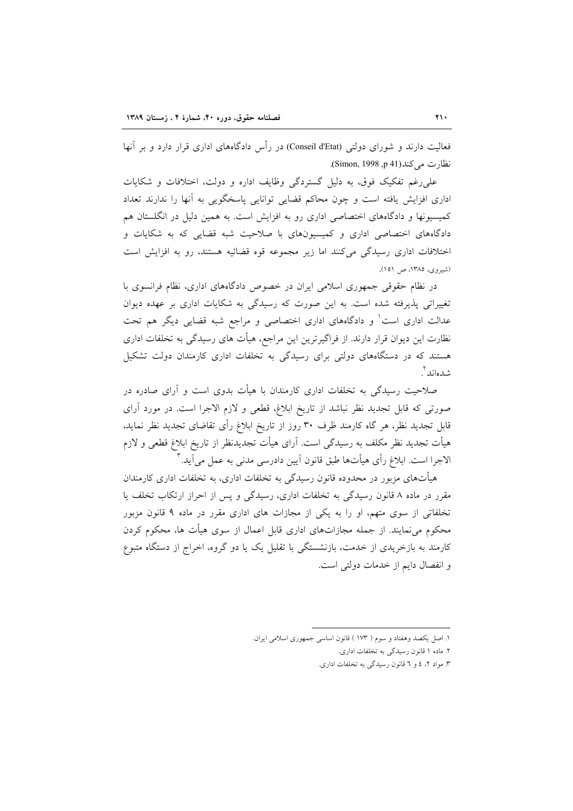فعالیت دارند و شورای دولتی (Conseil d'Etat) در رأس دادگاههای اداری قرار دارد و بر آنها نظارت مي كند (Simon, 1998, p 41).

علی رغم تفکیک فوق، به دلیل گستردگی وظایف اداره و دولت، اختلافات و شکایات اداری افزایش یافته است و چون محاکم قضایی توانایی پاسخگویی به آنها را ندارند تعداد کمیسیونها و دادگاههای اختصاصی اداری رو به افزایش است. به همین دلیل در انگلستان هم دادگاههای اختصاصی اداری و کمیسیونهای با صلاحیت شبه قضایی که به شکایات و اختلافات اداری رسیدگی میکنند اما زیر مجموعه قوه قضائیه هستند، رو به افزایش است (شیروی، ۱۳۸۵، ص ۱۵۱).

در نظام حقوقی جمهوری اسلامی ایران در خصوص دادگاههای اداری، نظام فرانسوی با تغییراتی پذیرفته شده است. به این صورت که رسیدگی به شکایات اداری بر عهده دیوان عدالت اداری است و دادگاههای اداری اختصاصی و مراجع شبه قضایی دیگر هم تحت نظارت این دیوان قرار دارند. از فراگیرترین این مراجع، هیأت های رسیدگی به تخلفات اداری هستند که در دستگاههای دولتی برای رسیدگی به تخلفات اداری کارمندان دولت تشکیل شدهاند آ

صلاحیت رسیدگی به تخلفات اداری کارمندان با هیأت بدوی است و آرای صادره در صورتی که قابل تجدید نظر نباشد از تاریخ ابلاغ، قطعی و لازم الاجرا است. در مورد آرای قابل تجدید نظر، هر گاه کارمند ظرف ۳۰ روز از تاریخ ابلاغ رأی تقاضای تجدید نظر نماید، هیأت تجدید نظر مکلف به رسیدگی است. آرای هیأت تجدیدنظر از تاریخ ابلاغ قطعی و لازم الاجرا است. ابلاغ رأي هيأتها طبق قانون آيين دادرسي مدني به عمل مي آيد."

هیأتهای مزبور در محدوده قانون رسیدگی به تخلفات اداری، به تخلفات اداری کارمندان مقرر در ماده ۸ قانون رسیدگی به تخلفات اداری، رسیدگی و پس از احراز ارتکاب تخلف یا تخلفاتی از سوی متهم، او را به یکی از مجازات های اداری مقرر در ماده ۹ قانون مزبور محکوم می نمایند. از جمله مجازاتهای اداری قابل اعمال از سوی هیأت ها، محکوم کردن کارمند به بازخریدی از خدمت، بازنشستگی با تقلیل یک یا دو گروه، اخراج از دستگاه متبوع و انفصال دایم از خدمات دولتی است.

١. اصل يكصد وهفتاد و سوم ( ١٧٣ ) قانون اساسي جمهوري اسلامي ايران.

۲. ماده ۱ قانون رسیدگی به تخلفات اداری.

۳. مواد ۲، ٤ و ٦ قانون رسیدگی به تخلفات اداری.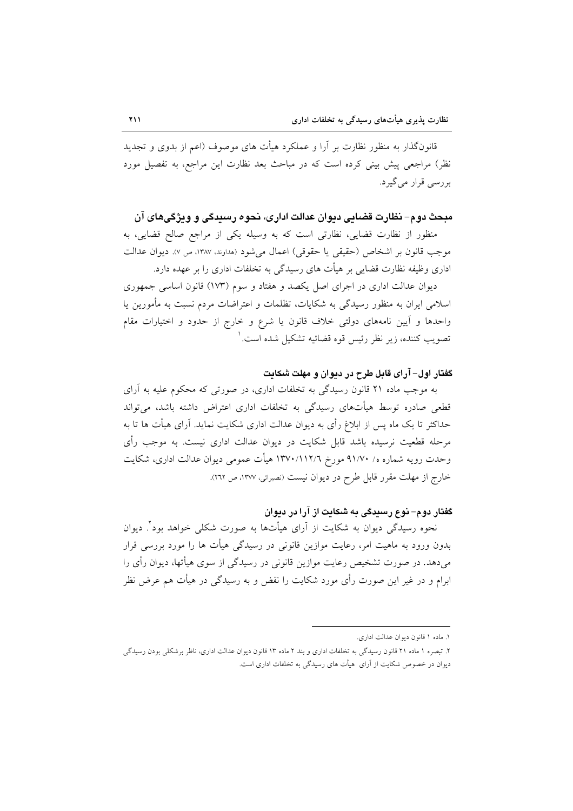قانونگذار به منظور نظارت بر اَرا و عملکرد هیأت های موصوف (اعم از بدوی و تجدید نظر) مراجعی پیش بینی کرده است که در مباحث بعد نظارت این مراجع، به تفصیل مورد بررسی قرار میگیرد.

### مبحث دوم– نظارت قضایی دیوان عدالت اداری، نحوه رسیدگی و ویژگیهای آن

منظور از نظارت قضایی، نظارتی است که به وسیله یکی از مراجع صالح قضایی، به موجب قانون بر اشخاص (حقيقي يا حقوقي) اعمال مي شود (هداوند. ١٣٨٧، ص ٧). ديوان عدالت اداری وظیفه نظارت قضایی بر هیأت های رسیدگی به تخلفات اداری را بر عهده دارد.

دیوان عدالت اداری در اجرای اصل یکصد و هفتاد و سوم (۱۷۳) قانون اساسی جمهوری اسلامی ایران به منظور رسیدگی به شکایات، تظلمات و اعتراضات مردم نسبت به مأمورین یا واحدها و آیین نامههای دولتی خلاف قانون یا شرع و خارج از حدود و اختیارات مقام تصويب كننده، زير نظر رئيس قوه قضائيه تشكيل شده است. ٰ

### گفتار اول- آرای قابل طرح در دیوان و مهلت شکایت

به موجب ماده ۲۱ قانون رسیدگی به تخلفات اداری، در صورتی که محکوم علیه به آرای قطعی صادره توسط هیأتهای رسیدگی به تخلفات اداری اعتراض داشته باشد، می تواند حداکثر تا یک ماه پس از ابلاغ رأی به دیوان عدالت اداری شکایت نماید. آرای هیأت ها تا به مرحله قطعیت نرسیده باشد قابل شکایت در دیوان عدالت اداری نیست. به موجب رأی وحدت رويه شماره ه/ ٩١/٧٠ مورخ ١٣٧٠/١١٢/٦ هيأت عمومي ديوان عدالت اداري، شكايت خارج از مهلت مقرر قابل طرح در ديوان نيست (نصيرائي، ١٣٧٧، ص ٢٦٢).

### گفتار دوم– نوع رسندگی به شکایت از آرا در دیوان

نحوه رسیدگی دیوان به شکایت از آرای هیأتها به صورت شکلی خواهد بود ٌ. دیوان بدون ورود به ماهیت امر، رعایت موازین قانونی در رسیدگی هیأت ها را مورد بررسی قرار میدهد. در صورت تشخیص رعایت موازین قانونی در رسیدگی از سوی هیأتها، دیوان رأی را ابرام و در غیر این صورت رأی مورد شکایت را نقض و به رسیدگی در هیأت هم عرض نظر

١. ماده ١ قانون ديوان عدالت ادارى.

۲. تبصره ۱ ماده ۲۱ قانون رسیدگی به تخلفات اداری و بند ۲ ماده ۱۳ قانون دیوان عدالت اداری، ناظر برشکلی بودن رسیدگی دیوان در خصوص شکایت از آرای هیأت های رسیدگی به تخلفات اداری است.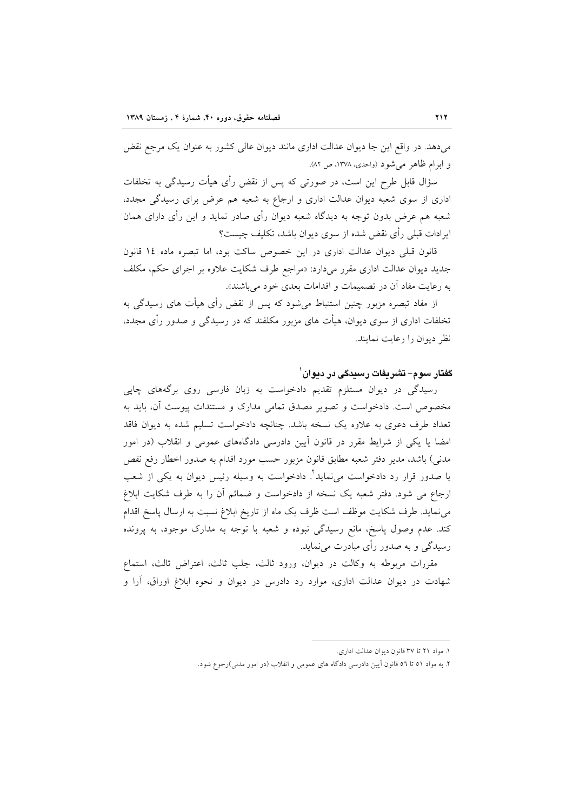میدهد. در واقع این جا دیوان عدالت اداری مانند دیوان عالی کشور به عنوان یک مرجع نقض و ابرام ظاهر می شود (واحدی، ۱۳۷۸، ص ۸۲).

سؤال قابل طرح این است، در صورتی که پس از نقض رأی هیأت رسیدگی به تخلفات اداری از سوی شعبه دیوان عدالت اداری و ارجاع به شعبه هم عرض برای رسیدگی مجدد، شعبه هم عرض بدون توجه به دیدگاه شعبه دیوان رأی صادر نماید و این رأی دارای همان ایرادات قبلی رأی نقض شده از سوی دیوان باشد، تکلیف چیست؟

قانون قبلی دیوان عدالت اداری در این خصوص ساکت بود، اما تبصره ماده ١٤ قانون جدید دیوان عدالت اداری مقرر میدارد: «مراجع طرف شکایت علاوه بر اجرای حکم، مکلف به رعایت مفاد آن در تصمیمات و اقدامات بعدی خود میباشند».

از مفاد تبصره مزبور چنین استنباط میشود که پس از نقض رأی هیأت های رسیدگی به تخلفات اداری از سوی دیوان، هیأت های مزبور مکلفند که در رسیدگی و صدور رأی مجدد، نظر دیوان را رعایت نمایند.

### گفتار سوم– تشریفات رسیدگی در دیوان`

رسیدگی در دیوان مستلزم تقدیم دادخواست به زبان فارسی روی برگههای چاپی مخصوص است. دادخواست و تصویر مصدق تمامی مدارک و مستندات پیوست آن، باید به تعداد طرف دعوی به علاوه یک نسخه باشد. چنانچه دادخواست تسلیم شده به دیوان فاقد امضا یا یکی از شرایط مقرر در قانون آیین دادرسی دادگاههای عمومی و انقلاب (در امور مدنی) باشد، مدیر دفتر شعبه مطابق قانون مزبور حسب مورد اقدام به صدور اخطار رفع نقص یا صدور قرار رد دادخواست میiماید ٔ. دادخواست به وسیله رئیس دیوان به یکی از شعب ارجاع می شود. دفتر شعبه یک نسخه از دادخواست و ضمائم آن را به طرف شکایت ابلاغ می نماید. طرف شکایت موظف است ظرف یک ماه از تاریخ ابلاغ نسبت به ارسال پاسخ اقدام کند. عدم وصول پاسخ، مانع رسیدگی نبوده و شعبه با توجه به مدارک موجود، به پرونده رسیدگی و به صدور رأی مبادرت می نماید.

مقررات مربوطه به وكالت در ديوان، ورود ثالث، جلب ثالث، اعتراض ثالث، استماع شهادت در دیوان عدالت اداری، موارد رد دادرس در دیوان و نحوه ابلاغ اوراق، أرا و

١. مواد ٢١ تا ٣٧ قانون ديوان عدالت ادارى.

۲. به مواد ٥١ تا ٥٦ قانون آيين دادرسي دادگاه هاي عمومي و انقلاب (در امور مدني)رجوع شود.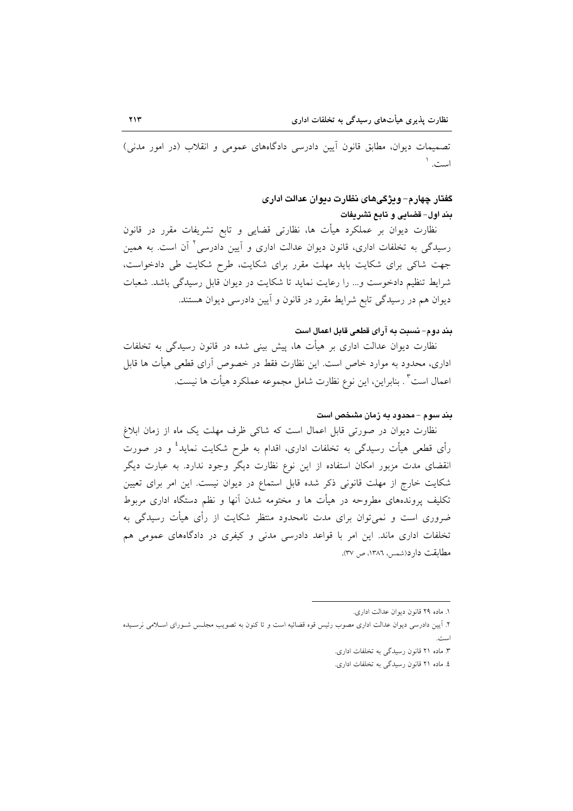تصمیمات دیوان، مطابق قانون آیین دادرسی دادگاههای عمومی و انقلاب (در امور مدنی) است. ۱

## گفتار چهارم– ویژگیهای نظارت دیوان عدالت اداری بند اول- قضايي و تابع تشريفات

نظارت دیوان بر عملکرد هیأت ها، نظارتی قضایی و تابع تشریفات مقرر در قانون رسیدگی به تخلفات اداری، قانون دیوان عدالت اداری و آیین دادرسی آ آن است. به همین جهت شاکی برای شکایت باید مهلت مقرر برای شکایت، طرح شکایت طی دادخواست، شرایط تنظیم دادخوست و... را رعایت نماید تا شکایت در دیوان قابل رسیدگی باشد. شعبات دیوان هم در رسیدگی تابع شرایط مقرر در قانون و آیین دادرسی دیوان هستند.

### بند دوم- نسبت به آراي قطعي قابل اعمال است

نظارت دیوان عدالت اداری بر هیأت ها، پیش بینی شده در قانون رسیدگی به تخلفات اداری، محدود به موارد خاص است. این نظارت فقط در خصوص آرای قطعی هیأت ها قابل اعمال است" . بنابراين، اين نوع نظارت شامل مجموعه عملكرد هيأت ها نيست.

#### بند سوم – محدود به زمان مشخص است

نظارت دیوان در صورتی قابل اعمال است که شاکی ظرف مهلت یک ماه از زمان ابلاغ رأی قطعی هیأت رسیدگی به تخلفات اداری، اقدام به طرح شکایت نماید<sup>؛</sup> و در صورت انقضای مدت مزبور امکان استفاده از این نوع نظارت دیگر وجود ندارد. به عبارت دیگر شکایت خارج از مهلت قانونی ذکر شده قابل استماع در دیوان نیست. این امر برای تعیین تکلیف پروندههای مطروحه در هیأت ها و مختومه شدن آنها و نظم دستگاه اداری مربوط ضروری است و نمیٍتوان برای مدت نامحدود منتظر شکایت از رأی هیأت رسیدگی به تخلفات اداری ماند. این امر با قواعد دادرسی مدنی و کیفری در دادگاههای عمومی هم مطابقت دارد(شمس، ١٣٨٦، ص ٣٧).

١. ماده ٢٩ قانون ديوان عدالت اداري.

۲. آیین دادرسی دیوان عدالت اداری مصوب رئیس قوه قضائیه است و تا کنون به تصویب مجلس شـورای اسـلامی نرسـیده

۳. ماده ۲۱ قانون رسیدگی به تخلفات اداری.

٤. ماده ٢١ قانون رسيدگي به تخلفات اداري.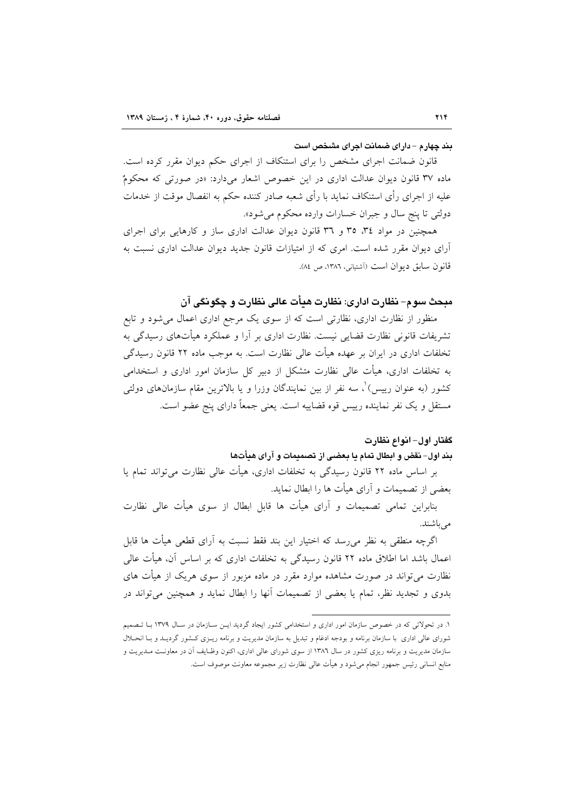#### بند چهارم – دارای ضمانت اجرای مشخص است

قانون ضمانت اجرای مشخص را برای استنکاف از اجرای حکم دیوان مقرر کرده است. ماده ۳۷ قانون دیوان عدالت اداری در این خصوص اشعار میدارد: «در صورتی که محکومٌ علیه از اجرای رأی استنکاف نماید با رأی شعبه صادر کننده حکم به انفصال موقت از خدمات دولتي تا پنج سال و جبران خسارات وارده محکوم مي شود».

همچنین در مواد ۳٤، ۳٥ و ۳٦ قانون دیوان عدالت اداری ساز و کارهایی برای اجرای آرای دیوان مقرر شده است. امری که از امتیازات قانون جدید دیوان عدالت اداری نسبت به قانون سابق ديوان است (آشتياني، ١٣٨٦، ص ٨٤).

## مبحث سوم– نظارت اداری: نظارت هیأت عالی نظارت و چگونگی آن

منظور از نظارت اداری، نظارتی است که از سوی یک مرجع اداری اعمال میشود و تابع تشریفات قانونی نظارت قضایی نیست. نظارت اداری بر آرا و عملکرد هیأتهای رسیدگی به تخلفات اداری در ایران بر عهده هیأت عالی نظارت است. به موجب ماده ۲۲ قانون رسیدگی به تخلفات اداری، هیأت عالی نظارت متشکل از دبیر کل سازمان امور اداری و استخدامی کشور (به عنوان رییس) ْ، سه نفر از بین نمایندگان وزرا و یا بالاترین مقام سازمانهای دولتی مستقل و يک نفر نماينده رييس قوه قضاييه است. يعني جمعاً داراي پنج عضو است.

### گفتار اول- انواع نظارت

### بند اول- نقض و ابطال تمام يا بعضى از تصميمات و آراى هيأتها

بر اساس ماده ۲۲ قانون رسیدگی به تخلفات اداری، هیأت عالی نظارت می تواند تمام یا بعضي از تصميمات و آراي هيأت ها را ابطال نمايد.

بنابراین تمامی تصمیمات و آرای هیأت ها قابل ابطال از سوی هیأت عالی نظارت مے باشند.

اگرچه منطقی به نظر می٫سد که اختیار این بند فقط نسبت به آرای قطعی هیأت ها قابل اعمال باشد اما اطلاق ماده ۲۲ قانون رسیدگی به تخلفات اداری که بر اساس آن، هیأت عالی نظارت می تواند در صورت مشاهده موارد مقرر در ماده مزبور از سوی هریک از هیأت های بدوی و تجدید نظر، تمام یا بعضی از تصمیمات آنها را ابطال نماید و همچنین می تواند در

۱. در تحولاتی که در خصوص سازمان امور اداری و استخدامی کشور ایجاد گردید ایـن سـازمان در سـال ۱۳۷۹ بـا تـصمیم شورای عالی اداری با سازمان برنامه و بودجه ادغام و تبدیل به سازمان مدیریت و برنامه ریـزی کـشور گردیـد و بـا انحـلال سازمان مدیریت و برنامه ریزی کشور در سال ۱۳۸۲ از سوی شورای عالی اداری، اکنون وظـایف اَن در معاونـت مـدیریت و منابع انسانی رئیس جمهور انجام میشود و هیأت عالی نظارت زیر مجموعه معاونت موصوف است.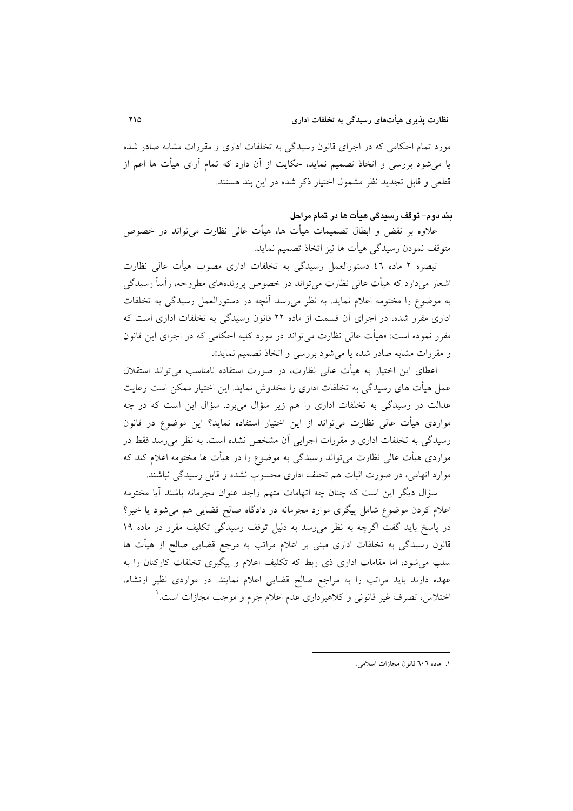مورد تمام احکامی که در اجرای قانون رسیدگی به تخلفات اداری و مقررات مشابه صادر شده یا می شود بررسی و اتخاذ تصمیم نماید، حکایت از آن دارد که تمام آرای هیأت ها اعم از قطعی و قابل تجدید نظر مشمول اختیار ذکر شده در این بند هستند.

## بند دوم- توقف رسیدگی هیأت ها در تمام مراحل

علاوه بر نقض و ابطال تصمیمات هیأت ها، هیأت عالی نظارت میتواند در خصوص متوقف نمودن رسيدگي هيأت ها نيز اتخاذ تصميم نمايد.

تبصره ۲ ماده ٤٦ دستورالعمل رسیدگی به تخلفات اداری مصوب هیأت عالی نظارت اشعار می دارد که هیأت عالی نظارت می تواند در خصوص پروندههای مطروحه، رأساً رسیدگی به موضوع را مختومه اعلام نماید. به نظر می رسد آنچه در دستورالعمل رسیدگی به تخلفات اداری مقرر شده، در اجرای آن قسمت از ماده ۲۲ قانون رسیدگی به تخلفات اداری است که مقرر نموده است: «هیأت عالی نظارت می تواند در مورد کلیه احکامی که در اجرای این قانون و مقررات مشابه صادر شده یا می شود بررسی و اتخاذ تصمیم نماید».

اعطای این اختیار به هیأت عالی نظارت، در صورت استفاده نامناسب می تواند استقلال عمل هیأت های رسیدگی به تخلفات اداری را مخدوش نماید. این اختیار ممکن است رعایت عدالت در رسیدگی به تخلفات اداری را هم زیر سؤال میبرد. سؤال این است که در چه مواردی هیأت عالی نظارت میتواند از این اختیار استفاده نماید؟ این موضوع در قانون رسیدگی به تخلفات اداری و مقررات اجرایی آن مشخص نشده است. به نظر می رسد فقط در مواردی هیأت عالی نظارت می تواند رسیدگی به موضوع را در هیأت ها مختومه اعلام کند که موارد اتهامی، در صورت اثبات هم تخلف اداری محسوب نشده و قابل رسیدگی نباشند.

سؤال دیگر این است که چنان چه اتهامات متهم واجد عنوان مجرمانه باشند آیا مختومه اعلام کردن موضوع شامل پیگری موارد مجرمانه در دادگاه صالح قضایی هم می شود یا خیر؟ در پاسخ باید گفت اگرچه به نظر میرسد به دلیل توقف رسیدگی تکلیف مقرر در ماده ۱۹ قانون رسیدگی به تخلفات اداری مبنی بر اعلام مراتب به مرجع قضایی صالح از هیأت ها سلب می شود، اما مقامات اداری ذی ربط که تکلیف اعلام و پیگیری تخلفات کارکنان را به عهده دارند باید مراتب را به مراجع صالح قضایی اعلام نمایند. در مواردی نظیر ارتشاء، اختلاس، تصرف غير قانوني و كلاهبرداري عدم اعلام جرم و موجب مجازات است. ٰ

١. ماده ٦٠٦ قانون مجازات اسلامي.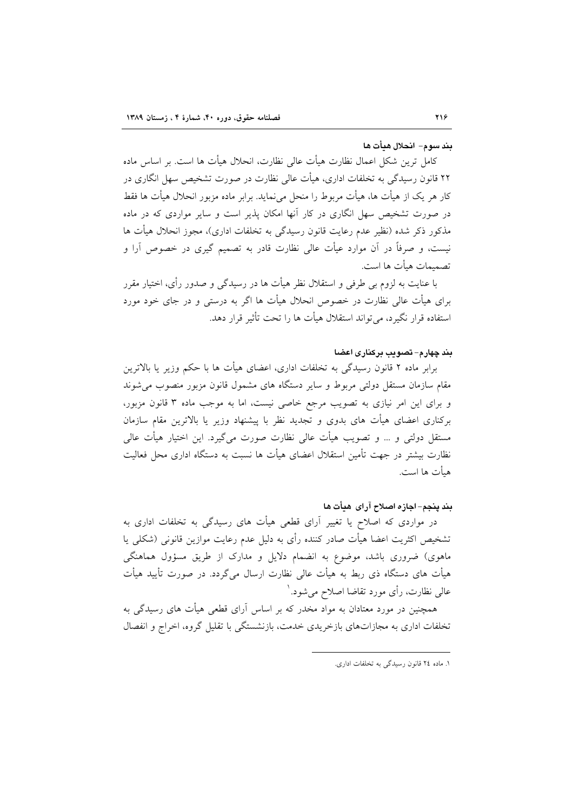#### بند سوم– انحلال هيأت ها

كامل ترين شكل اعمال نظارت هيأت عالى نظارت، انحلال هيأت ها است. بر اساس ماده ۲۲ قانون رسیدگی به تخلفات اداری، هیأت عالی نظارت در صورت تشخیص سهل انگاری در کار هر یک از هیأت ها، هیأت مربوط را منحل می نماید. برابر ماده مزبور انحلال هیأت ها فقط در صورت تشخیص سهل انگاری در کار آنها امکان پذیر است و سایر مواردی که در ماده مذکور ذکر شده (نظیر عدم رعایت قانون رسیدگی به تخلفات اداری)، مجوز انحلال هیأت ها نیست، و صرفاً در آن موارد عیأت عالی نظارت قادر به تصمیم گیری در خصوص آرا و تصميمات هيأت ها است.

با عنایت به لزوم بی طرفی و استقلال نظر هیأت ها در رسیدگی و صدور رأی، اختیار مقرر برای هیأت عالی نظارت در خصوص انحلال هیأت ها اگر به درستی و در جای خود مورد استفاده قرار نگیرد، می تواند استقلال هیأت ها را تحت تأثیر قرار دهد.

#### بند چهارم– تصویب برکناری اعضا

برابر ماده ۲ قانون رسیدگی به تخلفات اداری، اعضای هیأت ها با حکم وزیر یا بالاترین مقام سازمان مستقل دولتی مربوط و سایر دستگاه های مشمول قانون مزبور منصوب می شوند و برای این امر نیازی به تصویب مرجع خاصی نیست، اما به موجب ماده ۳ قانون مزبور، برکناری اعضای هیأت های بدوی و تجدید نظر با پیشنهاد وزیر یا بالاترین مقام سازمان مستقل دولتی و … و تصویب هیأت عالی نظارت صورت میگیرد. این اختیار هیأت عالی نظارت بیشتر در جهت تأمین استقلال اعضای هیأت ها نسبت به دستگاه اداری محل فعالیت هيأت ها است.

#### بند ينجم- اجازه اصلاح آراى هيأت ها

در مواردی که اصلاح یا تغییر آرای قطعی هیأت های رسیدگی به تخلفات اداری به تشخیص اکثریت اعضا هیأت صادر کننده رأی به دلیل عدم رعایت موازین قانونی (شکلی یا ماهوی) ضروری باشد، موضوع به انضمام دلایل و مدارک از طریق مسؤول هماهنگی هیأت های دستگاه ذی ربط به هیأت عالی نظارت ارسال می گردد. در صورت تأیید هیأت عالی نظارت، رأی مورد تقاضا اصلاح میشود.<sup>۱</sup>

همچنین در مورد معتادان به مواد مخدر که بر اساس آرای قطعی هیأت های رسیدگی به تخلفات اداری به مجازاتهای بازخریدی خدمت، بازنشستگی با تقلیل گروه، اخراج و انفصال

١. ماده ٢٤ قانون رسيدگي به تخلفات اداري.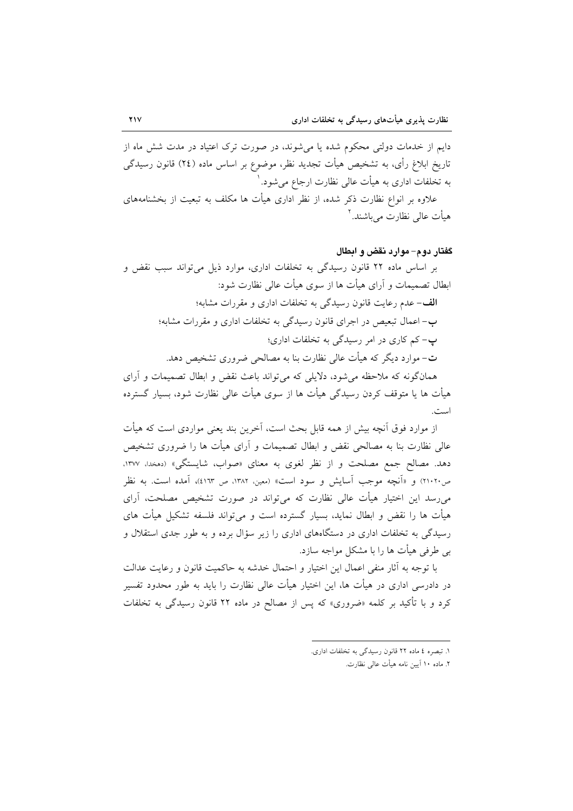دایم از خدمات دولتی محکوم شده یا می شوند، در صورت ترک اعتیاد در مدت شش ماه از تاریخ ابلاغ رأی، به تشخیص هیأت تجدید نظر، موضوع بر اساس ماده (٢٤) قانون رسیدگی به تخلفات اداری به هیأت عالی نظارت ارجاع می شود. ٰ علاوه بر انواع نظارت ذکر شده، از نظر اداری هیأت ها مکلف به تبعیت از بخشنامههای هیأت عالی نظارت می باشند.<sup>۲</sup>

#### گفتار دوم– موارد نقض و ابطال

بر اساس ماده ۲۲ قانون رسیدگی به تخلفات اداری، موارد ذیل می تواند سبب نقض و ابطال تصمیمات و آرای هیأت ها از سوی هیأت عالی نظارت شود: **الف**-عدم رعایت قانون رسیدگی به تخلفات اداری و مقررات مشابه؛ ب- اعمال تبعیص در اجرای قانون رسیدگی به تخلفات اداری و مقررات مشابه؛ پ- کم کاری در امر رسیدگی به تخلفات اداری؛ ت– موارد دیگر که هیأت عالی نظارت بنا به مصالحی ضروری تشخیص دهد. همانگونه که ملاحظه می شود، دلایلی که می تواند باعث نقض و ابطال تصمیمات و آرای

هیأت ها یا متوقف کردن رسیدگی هیأت ها از سوی هیأت عالی نظارت شود، بسیار گسترده است.

از موارد فوق آنچه بیش از همه قابل بحث است، آخرین بند یعنی مواردی است که هیأت عالی نظارت بنا به مصالحی نقض و ابطال تصمیمات و آرای هیأت ها را ضروری تشخیص دهد. مصالح جمع مصلحت و از نظر لغوى به معناى «صواب، شايستگى» (دمخدا، ۱۳۷۷، ص٢١٠٢٠) و «آنچه موجب آسایش و سود است» (معین، ١٣٨٢، ص ٤١٦٣)، آمده است. به نظر می رسد این اختیار هیأت عالی نظارت که می تواند در صورت تشخیص مصلحت، آرای هیأت ها را نقض و ابطال نماید، بسیار گسترده است و می تواند فلسفه تشکیل هیأت های رسیدگی به تخلفات اداری در دستگاههای اداری را زیر سؤال برده و به طور جدی استقلال و بی طرفی هیأت ها را با مشکل مواجه سازد.

با توجه به آثار منفى اعمال اين اختيار و احتمال خدشه به حاكميت قانون و رعايت عدالت در دادرسی اداری در هیأت ها، این اختیار هیأت عالی نظارت را باید به طور محدود تفسیر کرد و با تأکید بر کلمه «ضروری» که پس از مصالح در ماده ۲۲ قانون رسیدگ<sub>ی</sub> به تخلفات

١. تبصره ٤ ماده ٢٢ قانون رسيدگي به تخلفات اداري.

٢. ماده ١٠ أيين نامه هيأت عالى نظارت.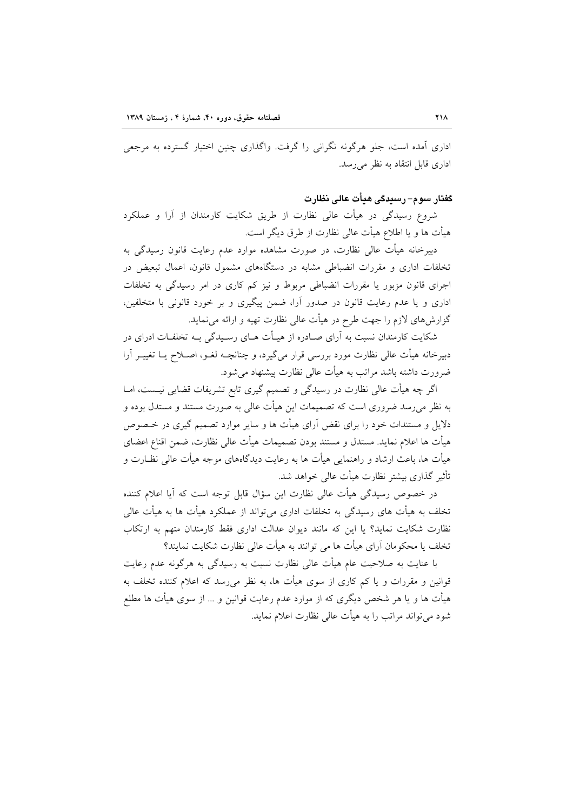اداری آمده است، جلو هرگونه نگرانی را گرفت. واگذاری چنین اختیار گسترده به مرجعی اداری قابل انتقاد به نظر می رسد.

## گفتار سوم– رسیدگی هیأت عالی نظارت

شروع رسیدگی در هیأت عالی نظارت از طریق شکایت کارمندان از آرا و عملکرد هيأت ها و يا اطلاع هيأت عالمي نظارت از طرق ديگر است.

دبیرخانه هیأت عالی نظارت، در صورت مشاهده موارد عدم رعایت قانون رسیدگی به تخلفات اداری و مقررات انضباطی مشابه در دستگاههای مشمول قانون، اعمال تبعیض در اجرای قانون مزبور یا مقررات انضباطی مربوط و نیز کم کاری در امر رسیدگی به تخلفات اداری و یا عدم رعایت قانون در صدور آرا، ضمن پیگیری و بر خورد قانونی با متخلفین، گزارشهای لازم را جهت طرح در هیأت عالی نظارت تهیه و ارائه می نماید.

شکایت کارمندان نسبت به آرای صـادره از هیـأت هـای رسـیدگی بـه تخلفـات ادرای در دبیرخانه هیأت عالی نظارت مورد بررسی قرار میگیرد، و چنانچـه لغــو، اصــلاح یــا تغییــر اَرا ضرورت داشته باشد مراتب به هیأت عالی نظارت پیشنهاد می شود.

اگر چه هیأت عالی نظارت در رسیدگی و تصمیم گیری تابع تشریفات قضایی نیـست، امـا به نظر می رسد ضروری است که تصمیمات این هیأت عالمی به صورت مستند و مستدل بوده و دلایل و مستندات خود را برای نقض آرای هیأت ها و سایر موارد تصمیم گیری در خـصوص هيأت ها اعلام نمايد. مستدل و مستند بودن تصميمات هيأت عالى نظارت، ضمن اقناع اعضاي هیأت ها، باعث ارشاد و راهنمایی هیأت ها به رعایت دیدگاههای موجه هیأت عالی نظـارت و تأثیر گذاری بیشتر نظارت هیأت عالی خواهد شد.

در خصوص رسیدگی هیأت عالی نظارت این سؤال قابل توجه است که آیا اعلام کننده تخلف به هیأت های رسیدگی به تخلفات اداری میٍتواند از عملکرد هیأت ها به هیأت عالی نظارت شکایت نماید؟ یا این که مانند دیوان عدالت اداری فقط کارمندان متهم به ارتکاب تخلف یا محکومان آرای هیأت ها می توانند به هیأت عالی نظارت شکایت نمایند؟

با عنایت به صلاحیت عام هیأت عالی نظارت نسبت به رسیدگی به هرگونه عدم رعایت قوانین و مقررات و یا کم کاری از سوی هیأت ها، به نظر میرسد که اعلام کننده تخلف به هیأت ها و یا هر شخص دیگری که از موارد عدم رعایت قوانین و … از سوی هیأت ها مطلع شود می تواند مراتب را به هیأت عالی نظارت اعلام نماید.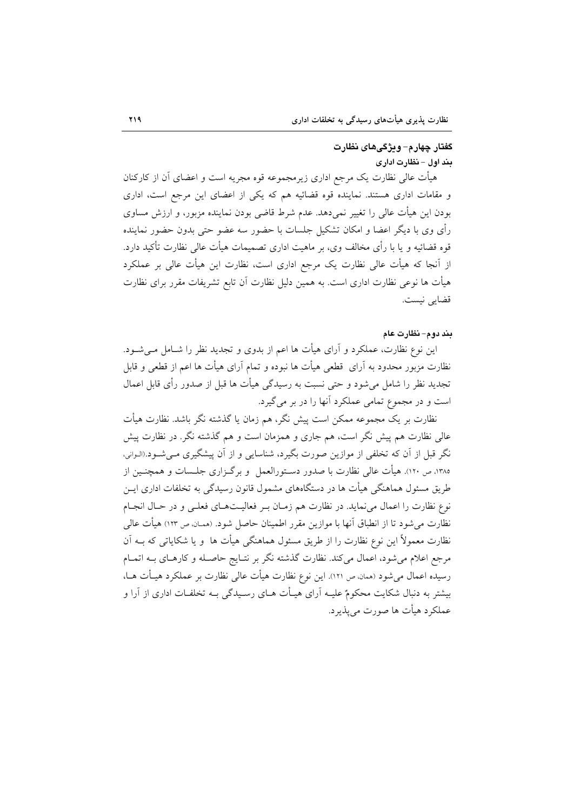## گفتار چهار م– ویژگی های نظارت بند اول - نظارت اداری

هیأت عالی نظارت یک مرجع اداری زیرمجموعه قوه مجریه است و اعضای آن از کارکنان و مقامات اداری هستند. نماینده قوه قضائیه هم که یکی از اعضای این مرجع است، اداری بودن این هیأت عالی را تغییر نمیدهد. عدم شرط قاضی بودن نماینده مزبور، و ارزش مساوی رأى وى با ديگر اعضا و امكان تشكيل جلسات با حضور سه عضو حتى بدون حضور نماينده قوه قضائیه و یا با رأی مخالف وی، بر ماهیت اداری تصمیمات هیأت عالی نظارت تأکید دارد. از اّنجا که هیأت عالی نظارت یک مرجع اداری است، نظارت این هیأت عالی بر عملکرد هیأت ها نوعی نظارت اداری است. به همین دلیل نظارت آن تابع تشریفات مقرر برای نظارت قضايي نيست.

#### بند دوم- نظارت عام

این نوع نظارت، عملکرد و آرای هیأت ها اعم از بدوی و تجدید نظر را شـامل مـی شـود. نظارت مزبور محدود به آراي قطعي هيأت ها نبوده و تمام آراي هيأت ها اعم از قطعي و قابل تجدید نظر را شامل می شود و حتی نسبت به رسیدگی هیأت ها قبل از صدور رأی قابل اعمال است و در مجموع تمامی عملکرد آنها را در بر می گیرد.

نظارت بر یک مجموعه ممکن است پیش نگر، هم زمان یا گذشته نگر باشد. نظارت هیأت عالی نظارت هم پیش نگر است، هم جاری و همزمان است و هم گذشته نگر. در نظارت پیش نگر قبل از آن که تخلفی از موازین صورت بگیرد، شناسایی و از آن پیشگیری مـی شـود.(الـوانی، ۱۳۸۵، ص ۱۱۰). هیأت عالی نظارت با صدور دسـتورالعمل ً و برگـزاری جلـسات و همچنــین از طریق مسئول هماهنگی هیأت ها در دستگاههای مشمول قانون رسیدگی به تخلفات اداری ایــن نوع نظارت را اعمال می نماید. در نظارت هم زمـان بـر فعالیـتهـای فعلـی و در حـال انجـام نظارت می شود تا از انطباق آنها با موازین مقرر اطمینان حاصل شود. (ممـان ص ۱۲۳) هیأت عالمی نظارت معمولاً این نوع نظارت را از طریق مسئول هماهنگی هیأت ها ۖ و یا شکایاتی که بــه آن مرجع اعلام می شود، اعمال میکند. نظارت گذشته نگر بر نتـایج حاصـله و کارهـای بــه اتمـام رسیده اعمال میشود (همان ص ١٢١). این نوع نظارت هیأت عالی نظارت بر عملکرد هیـأت هـا، بیشتر به دنبال شکایت محکومٌ علیـه آرای هیـأت هـای رسـیدگی بـه تخلفـات اداری از آرا و عملکرد هیأت ها صورت می پذیرد.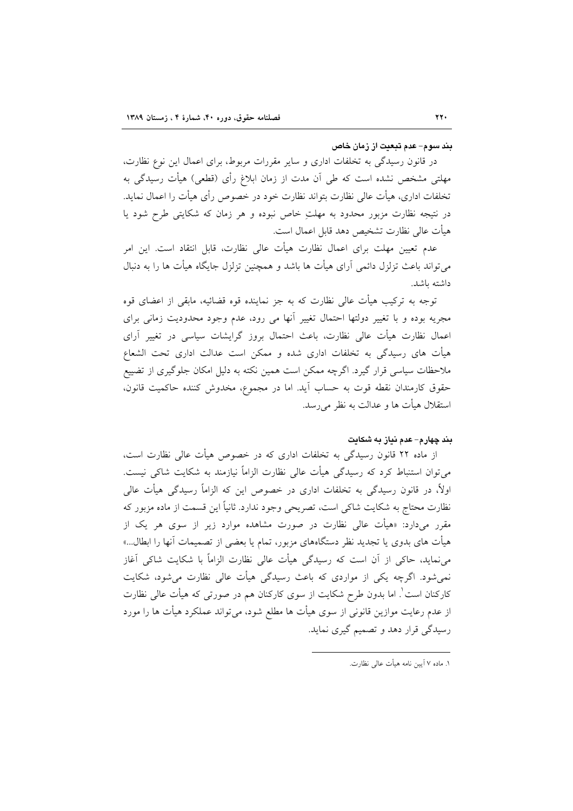#### بند سوم- عدم تبعیت از زمان خاص

در قانون رسیدگی به تخلفات اداری و سایر مقررات مربوط، برای اعمال این نوع نظارت، مهلتی مشخص نشده است که طی آن مدت از زمان ابلاغ رأی (قطعی) هیأت رسیدگی به تخلفات اداری، هیأت عالی نظارت بتواند نظارت خود در خصوص رأی هیأت را اعمال نماید. در نتیجه نظارت مزبور محدود به مهلتِ خاص نبوده و هر زمان که شکایتی طرح شود یا هيأت عالى نظارت تشخيص دهد قابل اعمال است.

عدم تعیین مهلت برای اعمال نظارت هیأت عالی نظارت، قابل انتقاد است. این امر می تواند باعث تزلزل دائمی آرای هیأت ها باشد و همچنین تزلزل جایگاه هیأت ها را به دنبال داشته ىاشد.

توجه به ترکیب هیأت عالی نظارت که به جز نماینده قوه قضائیه، مابقی از اعضای قوه مجریه بوده و با تغییر دولتها احتمال تغییر أنها می رود، عدم وجود محدودیت زمانی برای اعمال نظارت هیأت عالی نظارت، باعث احتمال بروز گرایشات سیاسی در تغییر آرای هیأت های رسیدگی به تخلفات اداری شده و ممکن است عدالت اداری تحت الشعاع ملاحظات سیاسی قرار گیرد. اگرچه ممکن است همین نکته به دلیل امکان جلوگیری از تضییع حقوق كارمندان نقطه قوت به حساب آيد. اما در مجموع، مخدوش كننده حاكميت قانون، استقلال هيأت ها و عدالت به نظر مي رسد.

### بند چهارم– عدم نیاز به شکایت

از ماده ۲۲ قانون رسیدگی به تخلفات اداری که در خصوص هیأت عالی نظارت است، می توان استنباط کرد که رسیدگی هیأت عالی نظارت الزاماً نیازمند به شکایت شاکی نیست. اولاً، در قانون رسیدگی به تخلفات اداری در خصوص این که الزاماً رسیدگی هیأت عالی نظارت محتاج به شکایت شاکی است، تصریحی وجود ندارد. ثانیاً این قسمت از ماده مزبور که مقرر میدارد: «هیأت عالی نظارت در صورت مشاهده موارد زیر از سوی هر یک از هیأت های بدوی یا تجدید نظر دستگاههای مزبور، تمام یا بعضی از تصمیمات آنها را ابطال…» می نماید، حاکی از آن است که رسیدگی هیأت عالی نظارت الزاماً با شکایت شاکی آغاز نمی شود. اگرچه یکی از مواردی که باعث رسیدگی هیأت عالی نظارت می شود، شکایت کارکنان است ْ. اما بدون طرح شکایت از سوی کارکنان هم در صورتی که هیأت عالی نظارت از عدم رعایت موازین قانونی از سوی هیأت ها مطلع شود، میٍتواند عملکرد هیأت ها را مورد رسیدگی قرار دهد و تصمیم گیری نماید.

١. ماده ٧ آيين نامه هيأت عالى نظارت.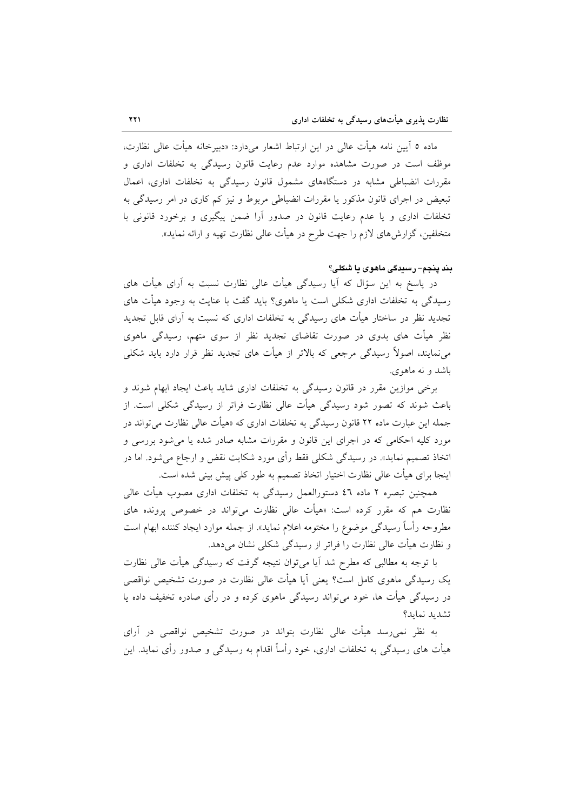ماده ٥ آيين نامه هيأت عالى در اين ارتباط اشعار ميدارد: «دبيرخانه هيأت عالى نظارت، موظف است در صورت مشاهده موارد عدم رعایت قانون رسیدگی به تخلفات اداری و مقررات انضباطی مشابه در دستگاههای مشمول قانون رسیدگی به تخلفات اداری، اعمال تبعیض در اجرای قانون مذکور یا مقررات انضباطی مربوط و نیز کم کاری در امر رسیدگی به تخلفات اداری و یا عدم رعایت قانون در صدور آرا ضمن پیگیری و برخورد قانونی با متخلفین، گزارشهای لازم را جهت طرح در هیأت عال<sub>ی</sub> نظارت تهیه و ارائه نماید».

يند پنجم- رسيدگي ماهوي يا شکلي؟

در پاسخ به این سؤال که آیا رسیدگی هیأت عالی نظارت نسبت به آرای هیأت های رسیدگی به تخلفات اداری شکلی است یا ماهوی؟ باید گفت با عنایت به وجود هیأت های تجدید نظر در ساختار هیأت های رسیدگی به تخلفات اداری که نسبت به آرای قابل تجدید نظر هیأت های بدوی در صورت تقاضای تجدید نظر از سوی متهم، رسیدگی ماهوی می نمایند، اصولاً رسیدگی مرجعی که بالاتر از هیأت های تجدید نظر قرار دارد باید شکلی باشد و نه ماهوي.

برخی موازین مقرر در قانون رسیدگی به تخلفات اداری شاید باعث ایجاد ابهام شوند و باعث شوند که تصور شود رسیدگی هیأت عالی نظارت فراتر از رسیدگی شکلی است. از جمله این عبارت ماده ۲۲ قانون رسیدگی به تخلفات اداری که «هیأت عالی نظارت می تواند در مورد کلیه احکامی که در اجرای این قانون و مقررات مشابه صادر شده یا میشود بررسی و اتخاذ تصمیم نماید». در رسیدگی شکلی فقط رأی مورد شکایت نقض و ارجاع میشود. اما در اینجا برای هیأت عالی نظارت اختیار اتخاذ تصمیم به طور کلی پیش بینی شده است.

همچنین تبصره ۲ ماده ٤٦ دستورالعمل رسیدگی به تخلفات اداری مصوب هیأت عالی نظارت هم که مقرر کرده است: «هیأت عال<sub>ی</sub> نظارت میتواند در خصوص پرونده های مطروحه رأساً رسیدگی موضوع را مختومه اعلام نماید». از جمله موارد ایجاد کننده ابهام است و نظارت هیأت عالی نظارت را فراتر از رسیدگی شکلی نشان میدهد.

با توجه به مطالبی که مطرح شد آیا میٍتوان نتیجه گرفت که رسیدگی هیأت عالی نظارت یک رسیدگی ماهوی کامل است؟ یعنی آیا هیأت عالی نظارت در صورت تشخیص نواقصی در رسیدگی هیأت ها، خود می تواند رسیدگی ماهوی کرده و در رأی صادره تخفیف داده یا تشديد نمايد؟

به نظر نمی رسد هیأت عالی نظارت بتواند در صورت تشخیص نواقصی در آرای هیأت های رسیدگی به تخلفات اداری، خود رأساً اقدام به رسیدگی و صدور رأی نماید. این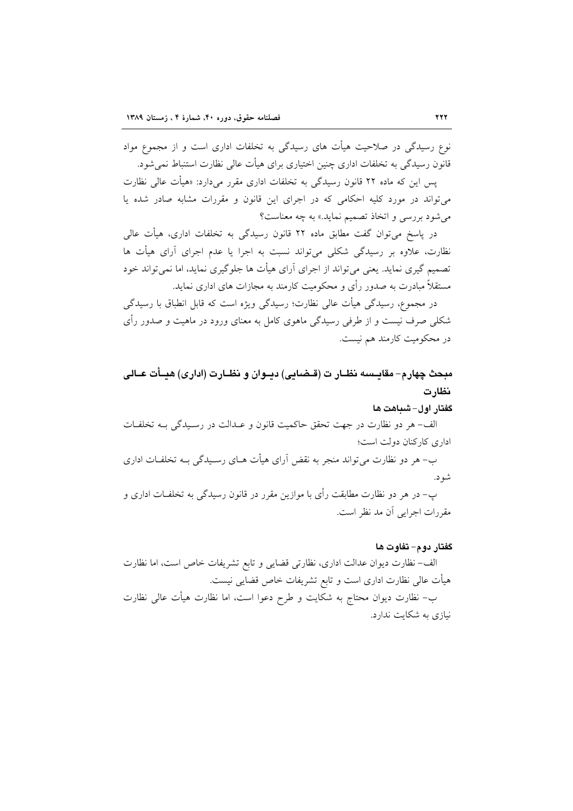نوع رسیدگی در صلاحیت هیأت های رسیدگی به تخلفات اداری است و از مجموع مواد قانون رسیدگی به تخلفات اداری چنین اختیاری برای هیأت عالی نظارت استنباط نمی شود.

پس این که ماده ۲۲ قانون رسیدگی به تخلفات اداری مقرر میدارد: «هیأت عالی نظارت می تواند در مورد کلیه احکامی که در اجرای این قانون و مقررات مشابه صادر شده یا می شود بررسی و اتخاذ تصمیم نماید.» به چه معناست؟

در پاسخ میتوان گفت مطابق ماده ۲۲ قانون رسیدگی به تخلفات اداری، هیأت عالی نظارت، علاوه بر رسیدگی شکلی می تواند نسبت به اجرا یا عدم اجرای آرای هیأت ها تصمیم گیری نماید. یعنی می تواند از اجرای آرای هیأت ها جلوگیری نماید، اما نمی تواند خود مستقلاً مبادرت به صدور رأى و محکومیت کارمند به مجازات هاى ادارى نماید.

در مجموع، رسیدگی هیأت عالی نظارت؛ رسیدگی ویژه است که قابل انطباق با رسیدگی شکلی صرف نیست و از طرفی رسیدگی ماهوی کامل به معنای ورود در ماهیت و صدور رأی در محکومیت کارمند هم نیست.

# مبحث چهارم– مقايـسـه نظــار ت (قــضـايـى) ديــوان و نظــارت (ادارى) هيــأت عــالـى نظارت

#### گفتار اول- شباهت ها

الف- هر دو نظارت در جهت تحقق حاكميت قانون و عـدالت در رسـيدگي بـه تخلفـات اداری کارکنان دولت است؛

ب- هر دو نظارت می تواند منجر به نقض آرای هیأت هـای رسـیدگی بــه تخلفـات اداری شو د.

پ– در هر دو نظارت مطابقت رأى با موازين مقرر در قانون رسيدگى به تخلفـات ادارى و مقررات اجرایی آن مد نظر است.

### گفتار دوم- تفاوت ها

الف- نظارت ديوان عدالت اداري، نظارتي قضايي و تابع تشريفات خاص است، اما نظارت هیأت عالی نظارت اداری است و تابع تشریفات خاص قضایی نیست.

ب– نظارت دیوان محتاج به شکایت و طرح دعوا است، اما نظارت هیأت عالی نظارت نیازی به شکایت ندارد.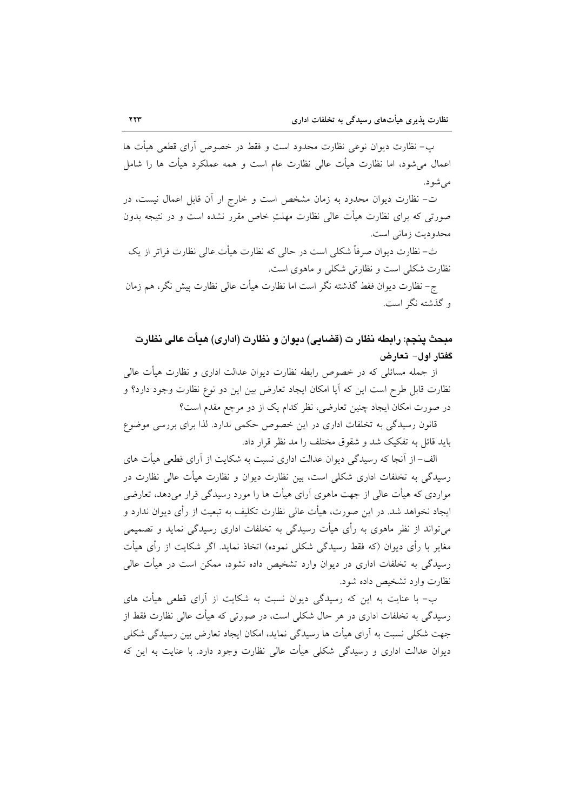پ- نظارت دیوان نوعی نظارت محدود است و فقط در خصوص آرای قطعی هیأت ها اعمال می شود، اما نظارت هیأت عالی نظارت عام است و همه عملکرد هیأت ها را شامل مى شود.

ت- نظارت دیوان محدود به زمان مشخص است و خارج ار آن قابل اعمال نیست، در صورتی که برای نظارت هیأت عالی نظارت مهلتِ خاص مقرر نشده است و در نتیجه بدون محدوديت زماني است.

ث- نظارت دیوان صرفاً شکلی است در حالی که نظارت هیأت عالی نظارت فراتر از یک نظارت شکلی است و نظارتی شکلی و ماهوی است.

ج– نظارت ديوان فقط گذشته نگر است اما نظارت هيأت عالى نظارت پيش نگر، هم زمان و گذشته نگر است.

مبحث ينجم: رابطه نظار ت (قضايي) ديوان و نظارت (اداري) هيأت عالي نظارت گفتار اول– تعارض

از جمله مسائلی که در خصوص رابطه نظارت دیوان عدالت اداری و نظارت هیأت عالی نظارت قابل طرح است این که آیا امکان ایجاد تعارض بین این دو نوع نظارت وجود دارد؟ و در صورت امکان ایجاد چنین تعارضی، نظر کدام یک از دو مرجع مقدم است؟

قانون رسیدگی به تخلفات اداری در این خصوص حکمی ندارد. لذا برای بررسی موضوع باید قائل به تفکیک شد و شقوق مختلف را مد نظر قرار داد.

الف- از آنجا که رسیدگی دیوان عدالت اداری نسبت به شکایت از آرای قطعی هیأت های رسیدگی به تخلفات اداری شکلی است، بین نظارت دیوان و نظارت هیأت عالی نظارت در مواردی که هیأت عالی از جهت ماهوی آرای هیأت ها را مورد رسیدگی قرار می دهد، تعارضی ایجاد نخواهد شد. در این صورت، هیأت عالی نظارت تکلیف به تبعیت از رأی دیوان ندارد و می تواند از نظر ماهوی به رأی هیأت رسیدگی به تخلفات اداری رسیدگی نماید و تصمیمی مغایر با رأی دیوان (که فقط رسیدگی شکلی نموده) اتخاذ نماید. اگر شکایت از رأی هیأت رسیدگی به تخلفات اداری در دیوان وارد تشخیص داده نشود، ممکن است در هیأت عالی نظارت وارد تشخیص داده شود.

ب- با عنایت به این که رسیدگی دیوان نسبت به شکایت از آرای قطعی هیأت های رسیدگی به تخلفات اداری در هر حال شکلی است، در صورتی که هیأت عالی نظارت فقط از جهت شکلی نسبت به آرای هیأت ها رسیدگی نماید، امکان ایجاد تعارض بین رسیدگی شکلی دیوان عدالت اداری و رسیدگی شکلی هیأت عالی نظارت وجود دارد. با عنایت به این که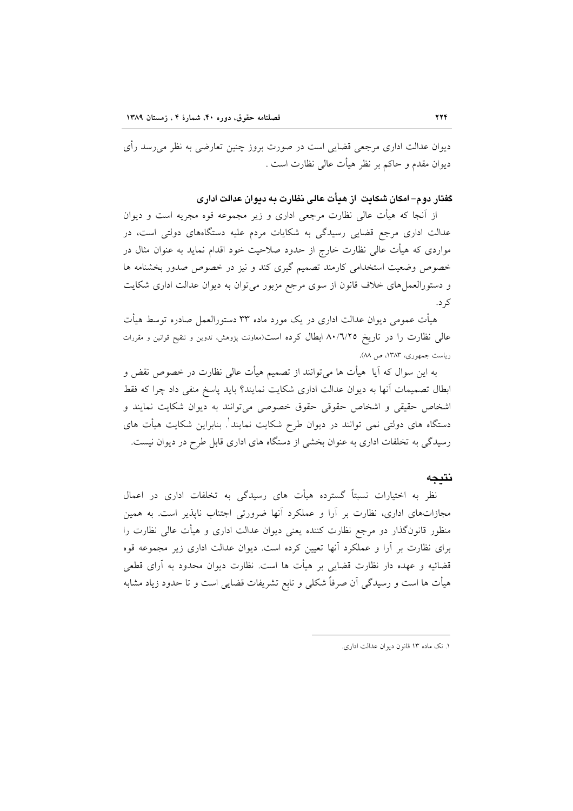دیوان عدالت اداری مرجعی قضایی است در صورت بروز چنین تعارضی به نظر می٫رسد رأی ديوان مقدم و حاكم بر نظر هيأت عالى نظارت است .

گفتار دوم– امکان شکایت از هیأت عالی نظارت به دیوان عدالت اداری

از آنجا که هیأت عالی نظارت مرجعی اداری و زیر مجموعه قوه مجریه است و دیوان عدالت اداری مرجع قضایی رسیدگی به شکایات مردم علیه دستگاههای دولتی است، در مواردی که هیأت عالی نظارت خارج از حدود صلاحیت خود اقدام نماید به عنوان مثال در خصوص وضعیت استخدامی کارمند تصمیم گیری کند و نیز در خصوص صدور بخشنامه ها و دستورالعمل های خلاف قانون از سوی مرجع مزبور میتوان به دیوان عدالت اداری شکایت کر د.

هیأت عمومی دیوان عدالت اداری در یک مورد ماده ۳۳ دستورالعمل صادره توسط هیأت عالمي نظارت را در تاريخ ٨٠/٦/٢٥ ابطال كرده است(معاونت پژوهش، تدوين و تنقيح قوانين و مقررات ریاست جمهوری، ۱۳۸۳، ص ۸۸).

به این سوال که آیا ً هیأت ها میٍتوانند از تصمیم هیأت عالی نظارت در خصوص نقض و ابطال تصمیمات آنها به دیوان عدالت اداری شکایت نمایند؟ باید پاسخ منفی داد چرا که فقط اشخاص حقیقی و اشخاص حقوقی حقوق خصوصی می توانند به دیوان شکایت نمایند و دستگاه های دولتی نمی توانند در دیوان طرح شکایت نمایند'. بنابراین شکایت هیأت های رسیدگی به تخلفات اداری به عنوان بخشی از دستگاه های اداری قابل طرح در دیوان نیست.

#### نتىجە

نظر به اختیارات نسبتاً گسترده هیأت های رسیدگی به تخلفات اداری در اعمال مجازاتهای اداری، نظارت بر آرا و عملکرد آنها ضرورتی اجتناب ناپذیر است. به همین منظور قانونگذار دو مرجع نظارت کننده یعنی دیوان عدالت اداری و هیأت عالی نظارت را برای نظارت بر اَرا و عملکرد اَنها تعیین کرده است. دیوان عدالت اداری زیر مجموعه قوه قضائیه و عهده دار نظارت قضایی بر هیأت ها است. نظارت دیوان محدود به آرای قطعی هیأت ها است و رسیدگی آن صرفاً شکلی و تابع تشریفات قضایی است و تا حدود زیاد مشابه

۱. نک ماده ۱۳ قانون دیوان عدالت اداری.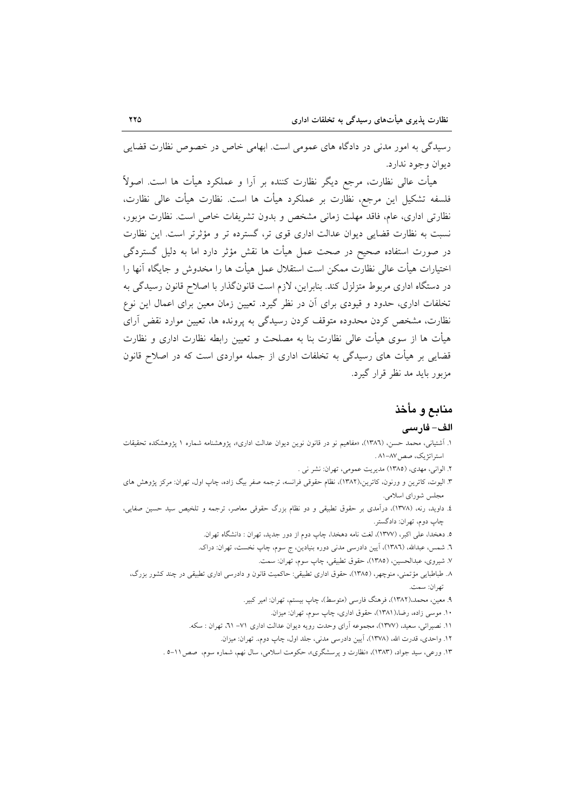رسیدگی به امور مدنی در دادگاه های عمومی است. ابهامی خاص در خصوص نظارت قضایی ديوان وجود ندارد.

هیأت عالی نظارت، مرجع دیگر نظارت کننده بر اَرا و عملکرد هیأت ها است. اصولاً فلسفه تشكيل اين مرجع، نظارت بر عملكرد هيأت ها است. نظارت هيأت عالى نظارت، نظارتی اداری، عام، فاقد مهلت زمانی مشخص و بدون تشریفات خاص است. نظارت مزبور، نسبت به نظارت قضایی دیوان عدالت اداری قوی تر، گسترده تر و مؤثرتر است. این نظارت در صورت استفاده صحیح در صحت عمل هیأت ها نقش مؤثر دارد اما به دلیل گستردگی اختيارات هيأت عالى نظارت ممكن است استقلال عمل هيأت ها را مخدوش و جايگاه آنها را در دستگاه اداری مربوط متزلزل کند. بنابراین، لازم است قانونگذار با اصلاح قانون رسیدگی به تخلفات اداری، حدود و قیودی برای آن در نظر گیرد. تعیین زمان معین برای اعمال این نوع نظارت، مشخص کردن محدوده متوقف کردن رسیدگی به پرونده ها، تعیین موارد نقض آرای هیأت ها از سوی هیأت عالی نظارت بنا به مصلحت و تعیین رابطه نظارت اداری و نظارت قضایی بر هیأت های رسیدگی به تخلفات اداری از جمله مواردی است که در اصلاح قانون مزبور باید مد نظر قرار گیرد.

## منابع و مأخذ

#### الف- فارسى

- ١. أشتياني، محمد حسن، (١٣٨٦)، «مفاهيم نو در قانون نوين ديوان عدالت اداري»، يژوهشنامه شماره ١ يژوهشكده تحقيقات استراتژیک، صص۷–۸۱ .
	- ۲. الواني، مهدي، (١٣٨٥) مديريت عمومي، تهران: نشر ني .
- ۳. الیوت، کاترین و ورنون، کاترین،(۱۳۸۲)، نظام حقوقی فرانسه، ترجمه صفر بیگ زاده، چاپ اول، تهران: مرکز پژوهش های مجلس شوراي اسلامي.
- ٤. داوید، رنه، (١٣٧٨)، درآمدي بر حقوق تطبيقي و دو نظام بزرگ حقوقي معاصر، ترجمه و تلخيص سيد حسين صفايي، چاپ دوم، تهران: دادگستر.
	- ٥. دهخدا، علي اكبر، (١٣٧٧)، لغت نامه دهخدا، چاپ دوم از دور جديد، تهران : دانشگاه تهران.
	- ٦. شمس، عبدالله، (١٣٨٦)، آيين دادرسي مدني دوره بنيادين، ج سوم، چاپ نخست، تهران: دراک.
		- ٧. شيروي، عبدالحسين، (١٣٨٥)، حقوق تطبيقي، چاپ سوم، تهران: سمت.
	- ۸. طباطبایی مؤتمنی، منوچهر، (۱۳۸۵)، حقوق اداری تطبیقی: حاکمیت قانون و دادرسی اداری تطبیقی در چند کشور بزرگ، تھ ان: سمت.
		- ۹. معین، محمد.(۱۳۸۲)، فرهنگ فارسی (متوسط)، چاپ بیستم، تهران: امیر کبیر.
			- ۱۰. موسی زاده، رضا،(۱۳۸۱)، حقوق اداری، چاپ سوم، تهران: میزان.
		- ١١. نصيرائي، سعيد، (١٣٧٧)، مجموعه آراي وحدت رويه ديوان عدالت اداري ٧١– ٢١، تهران : سكه.
			- ١٢. واحدى، قدرت الله، (١٣٧٨)، آيين دادرسي مدني، جلد اول، چاپ دوم. تهران: ميزان.
		- ۱۳. ورعی، سید جواد، (۱۳۸۳)، «نظارت و یرسشگری»، حکومت اسلامی، سال نهم، شماره سوم، صص۱۱-۵ .